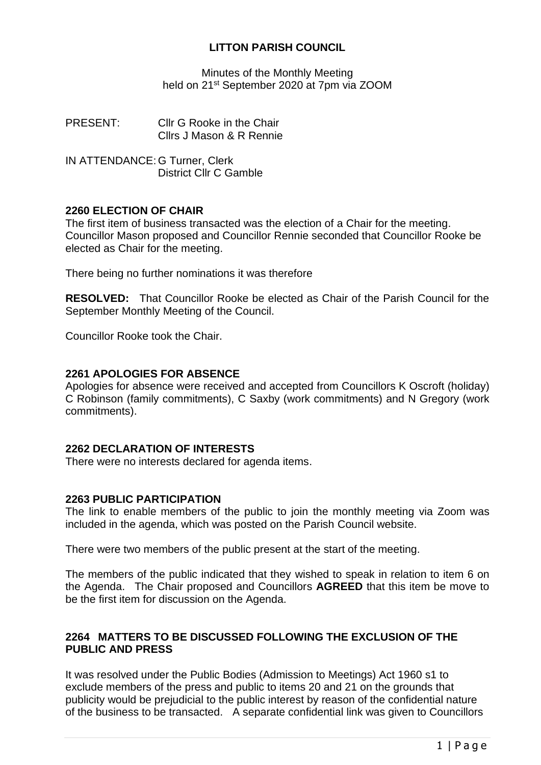### **LITTON PARISH COUNCIL**

Minutes of the Monthly Meeting held on 21<sup>st</sup> September 2020 at 7pm via ZOOM

PRESENT: Cllr G Rooke in the Chair Cllrs J Mason & R Rennie

IN ATTENDANCE: G Turner, Clerk District Cllr C Gamble

### **2260 ELECTION OF CHAIR**

The first item of business transacted was the election of a Chair for the meeting. Councillor Mason proposed and Councillor Rennie seconded that Councillor Rooke be elected as Chair for the meeting.

There being no further nominations it was therefore

**RESOLVED:** That Councillor Rooke be elected as Chair of the Parish Council for the September Monthly Meeting of the Council.

Councillor Rooke took the Chair.

### **2261 APOLOGIES FOR ABSENCE**

Apologies for absence were received and accepted from Councillors K Oscroft (holiday) C Robinson (family commitments), C Saxby (work commitments) and N Gregory (work commitments).

### **2262 DECLARATION OF INTERESTS**

There were no interests declared for agenda items.

### **2263 PUBLIC PARTICIPATION**

The link to enable members of the public to join the monthly meeting via Zoom was included in the agenda, which was posted on the Parish Council website.

There were two members of the public present at the start of the meeting.

The members of the public indicated that they wished to speak in relation to item 6 on the Agenda. The Chair proposed and Councillors **AGREED** that this item be move to be the first item for discussion on the Agenda.

### **2264 MATTERS TO BE DISCUSSED FOLLOWING THE EXCLUSION OF THE PUBLIC AND PRESS**

It was resolved under the Public Bodies (Admission to Meetings) Act 1960 s1 to exclude members of the press and public to items 20 and 21 on the grounds that publicity would be prejudicial to the public interest by reason of the confidential nature of the business to be transacted. A separate confidential link was given to Councillors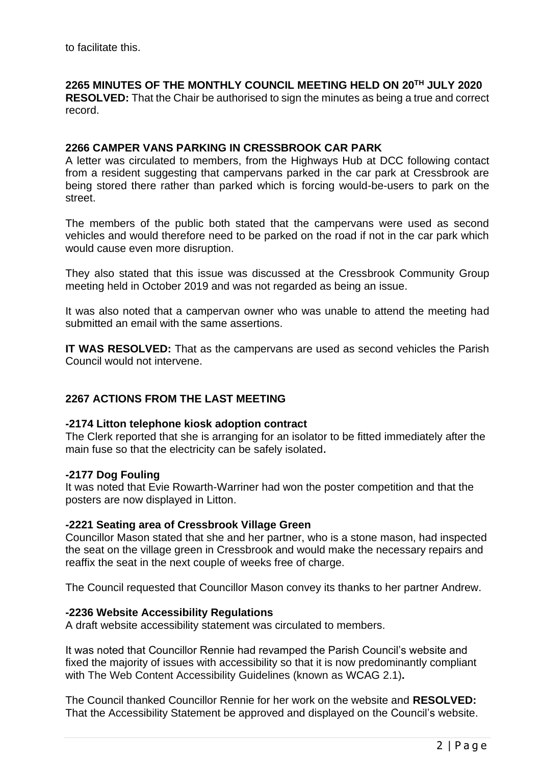to facilitate this.

# **2265 MINUTES OF THE MONTHLY COUNCIL MEETING HELD ON 20TH JULY 2020**

**RESOLVED:** That the Chair be authorised to sign the minutes as being a true and correct record.

### **2266 CAMPER VANS PARKING IN CRESSBROOK CAR PARK**

A letter was circulated to members, from the Highways Hub at DCC following contact from a resident suggesting that campervans parked in the car park at Cressbrook are being stored there rather than parked which is forcing would-be-users to park on the street.

The members of the public both stated that the campervans were used as second vehicles and would therefore need to be parked on the road if not in the car park which would cause even more disruption.

They also stated that this issue was discussed at the Cressbrook Community Group meeting held in October 2019 and was not regarded as being an issue.

It was also noted that a campervan owner who was unable to attend the meeting had submitted an email with the same assertions.

**IT WAS RESOLVED:** That as the campervans are used as second vehicles the Parish Council would not intervene.

# **2267 ACTIONS FROM THE LAST MEETING**

### **-2174 Litton telephone kiosk adoption contract**

The Clerk reported that she is arranging for an isolator to be fitted immediately after the main fuse so that the electricity can be safely isolated.

#### **-2177 Dog Fouling**

It was noted that Evie Rowarth-Warriner had won the poster competition and that the posters are now displayed in Litton.

### **-2221 Seating area of Cressbrook Village Green**

Councillor Mason stated that she and her partner, who is a stone mason, had inspected the seat on the village green in Cressbrook and would make the necessary repairs and reaffix the seat in the next couple of weeks free of charge.

The Council requested that Councillor Mason convey its thanks to her partner Andrew.

#### **-2236 Website Accessibility Regulations**

A draft website accessibility statement was circulated to members.

It was noted that Councillor Rennie had revamped the Parish Council's website and fixed the majority of issues with accessibility so that it is now predominantly compliant with The Web Content Accessibility Guidelines (known as WCAG 2.1)**.**

The Council thanked Councillor Rennie for her work on the website and **RESOLVED:** That the Accessibility Statement be approved and displayed on the Council's website.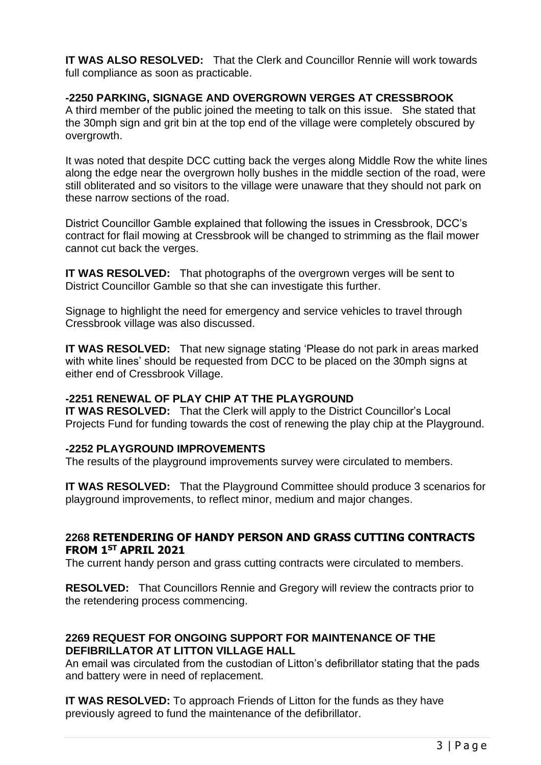**IT WAS ALSO RESOLVED:** That the Clerk and Councillor Rennie will work towards full compliance as soon as practicable.

### **-2250 PARKING, SIGNAGE AND OVERGROWN VERGES AT CRESSBROOK**

A third member of the public joined the meeting to talk on this issue. She stated that the 30mph sign and grit bin at the top end of the village were completely obscured by overgrowth.

It was noted that despite DCC cutting back the verges along Middle Row the white lines along the edge near the overgrown holly bushes in the middle section of the road, were still obliterated and so visitors to the village were unaware that they should not park on these narrow sections of the road.

District Councillor Gamble explained that following the issues in Cressbrook, DCC's contract for flail mowing at Cressbrook will be changed to strimming as the flail mower cannot cut back the verges.

**IT WAS RESOLVED:** That photographs of the overgrown verges will be sent to District Councillor Gamble so that she can investigate this further.

Signage to highlight the need for emergency and service vehicles to travel through Cressbrook village was also discussed.

**IT WAS RESOLVED:** That new signage stating 'Please do not park in areas marked with white lines' should be requested from DCC to be placed on the 30mph signs at either end of Cressbrook Village.

# **-2251 RENEWAL OF PLAY CHIP AT THE PLAYGROUND**

**IT WAS RESOLVED:** That the Clerk will apply to the District Councillor's Local Projects Fund for funding towards the cost of renewing the play chip at the Playground.

### **-2252 PLAYGROUND IMPROVEMENTS**

The results of the playground improvements survey were circulated to members.

**IT WAS RESOLVED:** That the Playground Committee should produce 3 scenarios for playground improvements, to reflect minor, medium and major changes.

### **2268 RETENDERING OF HANDY PERSON AND GRASS CUTTING CONTRACTS FROM 1ST APRIL 2021**

The current handy person and grass cutting contracts were circulated to members.

**RESOLVED:** That Councillors Rennie and Gregory will review the contracts prior to the retendering process commencing.

### **2269 REQUEST FOR ONGOING SUPPORT FOR MAINTENANCE OF THE DEFIBRILLATOR AT LITTON VILLAGE HALL**

An email was circulated from the custodian of Litton's defibrillator stating that the pads and battery were in need of replacement.

**IT WAS RESOLVED:** To approach Friends of Litton for the funds as they have previously agreed to fund the maintenance of the defibrillator.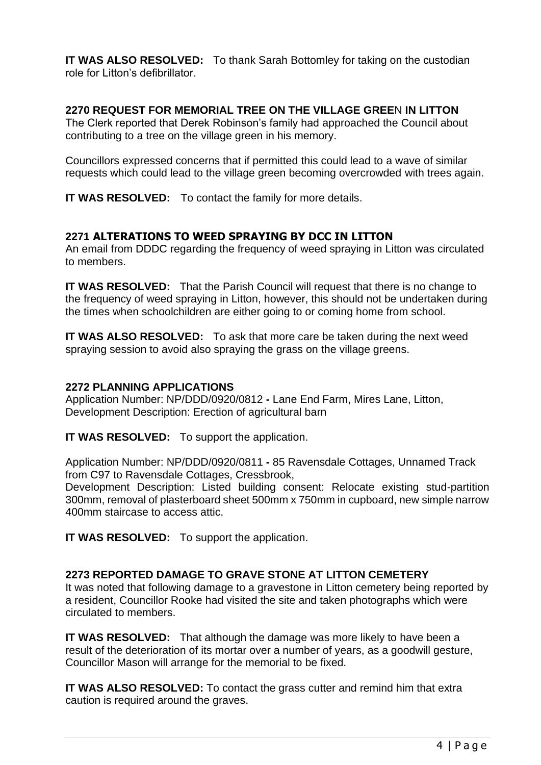**IT WAS ALSO RESOLVED:** To thank Sarah Bottomley for taking on the custodian role for Litton's defibrillator.

### **2270 REQUEST FOR MEMORIAL TREE ON THE VILLAGE GREE**N **IN LITTON**

The Clerk reported that Derek Robinson's family had approached the Council about contributing to a tree on the village green in his memory.

Councillors expressed concerns that if permitted this could lead to a wave of similar requests which could lead to the village green becoming overcrowded with trees again.

**IT WAS RESOLVED:** To contact the family for more details.

# **2271 ALTERATIONS TO WEED SPRAYING BY DCC IN LITTON**

An email from DDDC regarding the frequency of weed spraying in Litton was circulated to members.

**IT WAS RESOLVED:** That the Parish Council will request that there is no change to the frequency of weed spraying in Litton, however, this should not be undertaken during the times when schoolchildren are either going to or coming home from school.

**IT WAS ALSO RESOLVED:** To ask that more care be taken during the next weed spraying session to avoid also spraying the grass on the village greens.

### **2272 PLANNING APPLICATIONS**

Application Number: NP/DDD/0920/0812 **-** Lane End Farm, Mires Lane, Litton, Development Description: Erection of agricultural barn

**IT WAS RESOLVED:** To support the application.

Application Number: NP/DDD/0920/0811 **-** 85 Ravensdale Cottages, Unnamed Track from C97 to Ravensdale Cottages, Cressbrook,

Development Description: Listed building consent: Relocate existing stud-partition 300mm, removal of plasterboard sheet 500mm x 750mm in cupboard, new simple narrow 400mm staircase to access attic.

**IT WAS RESOLVED:** To support the application.

# **2273 REPORTED DAMAGE TO GRAVE STONE AT LITTON CEMETERY**

It was noted that following damage to a gravestone in Litton cemetery being reported by a resident, Councillor Rooke had visited the site and taken photographs which were circulated to members.

**IT WAS RESOLVED:** That although the damage was more likely to have been a result of the deterioration of its mortar over a number of years, as a goodwill gesture, Councillor Mason will arrange for the memorial to be fixed.

**IT WAS ALSO RESOLVED:** To contact the grass cutter and remind him that extra caution is required around the graves.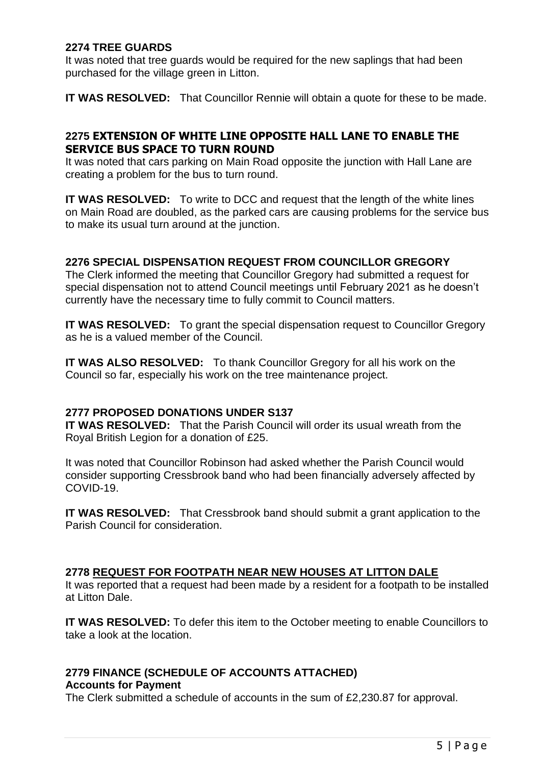### **2274 TREE GUARDS**

It was noted that tree guards would be required for the new saplings that had been purchased for the village green in Litton.

**IT WAS RESOLVED:** That Councillor Rennie will obtain a quote for these to be made.

## **2275 EXTENSION OF WHITE LINE OPPOSITE HALL LANE TO ENABLE THE SERVICE BUS SPACE TO TURN ROUND**

It was noted that cars parking on Main Road opposite the junction with Hall Lane are creating a problem for the bus to turn round.

**IT WAS RESOLVED:** To write to DCC and request that the length of the white lines on Main Road are doubled, as the parked cars are causing problems for the service bus to make its usual turn around at the junction.

### **2276 SPECIAL DISPENSATION REQUEST FROM COUNCILLOR GREGORY**

The Clerk informed the meeting that Councillor Gregory had submitted a request for special dispensation not to attend Council meetings until February 2021 as he doesn't currently have the necessary time to fully commit to Council matters.

**IT WAS RESOLVED:** To grant the special dispensation request to Councillor Gregory as he is a valued member of the Council.

**IT WAS ALSO RESOLVED:** To thank Councillor Gregory for all his work on the Council so far, especially his work on the tree maintenance project.

### **2777 PROPOSED DONATIONS UNDER S137**

**IT WAS RESOLVED:** That the Parish Council will order its usual wreath from the Royal British Legion for a donation of £25.

It was noted that Councillor Robinson had asked whether the Parish Council would consider supporting Cressbrook band who had been financially adversely affected by COVID-19.

**IT WAS RESOLVED:** That Cressbrook band should submit a grant application to the Parish Council for consideration.

### **2778 REQUEST FOR FOOTPATH NEAR NEW HOUSES AT LITTON DALE**

It was reported that a request had been made by a resident for a footpath to be installed at Litton Dale.

**IT WAS RESOLVED:** To defer this item to the October meeting to enable Councillors to take a look at the location.

#### **2779 FINANCE (SCHEDULE OF ACCOUNTS ATTACHED) Accounts for Payment**

The Clerk submitted a schedule of accounts in the sum of £2,230.87 for approval.